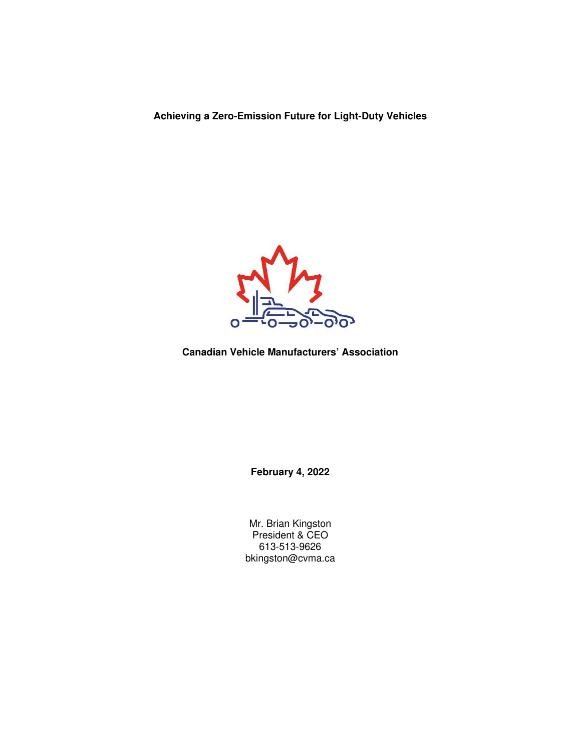**Achieving a Zero-Emission Future for Light-Duty Vehicles** 



**Canadian Vehicle Manufacturers' Association** 

**February 4, 2022** 

Mr. Brian Kingston President & CEO 613-513-9626 bkingston@cvma.ca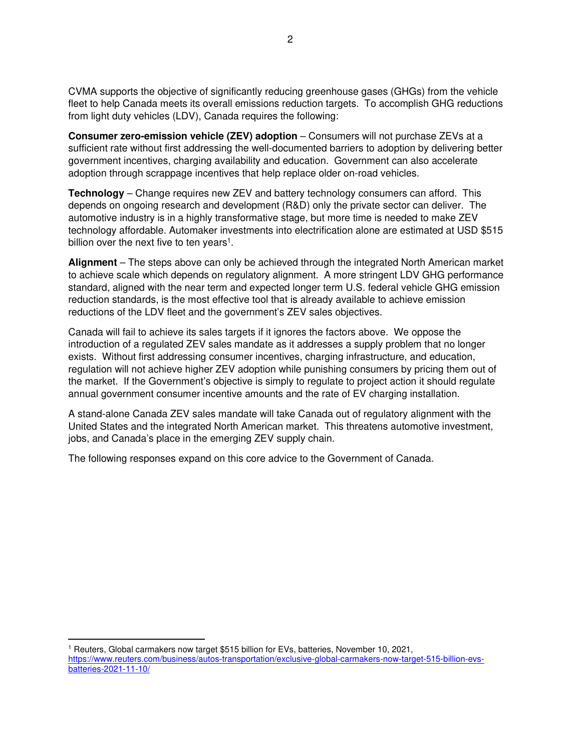CVMA supports the objective of significantly reducing greenhouse gases (GHGs) from the vehicle fleet to help Canada meets its overall emissions reduction targets. To accomplish GHG reductions from light duty vehicles (LDV), Canada requires the following:

**Consumer zero-emission vehicle (ZEV) adoption** – Consumers will not purchase ZEVs at a sufficient rate without first addressing the well-documented barriers to adoption by delivering better government incentives, charging availability and education. Government can also accelerate adoption through scrappage incentives that help replace older on-road vehicles.

**Technology** – Change requires new ZEV and battery technology consumers can afford. This depends on ongoing research and development (R&D) only the private sector can deliver. The automotive industry is in a highly transformative stage, but more time is needed to make ZEV technology affordable. Automaker investments into electrification alone are estimated at USD \$515 billion over the next five to ten years<sup>1</sup>.

**Alignment** – The steps above can only be achieved through the integrated North American market to achieve scale which depends on regulatory alignment. A more stringent LDV GHG performance standard, aligned with the near term and expected longer term U.S. federal vehicle GHG emission reduction standards, is the most effective tool that is already available to achieve emission reductions of the LDV fleet and the government's ZEV sales objectives.

Canada will fail to achieve its sales targets if it ignores the factors above. We oppose the introduction of a regulated ZEV sales mandate as it addresses a supply problem that no longer exists. Without first addressing consumer incentives, charging infrastructure, and education, regulation will not achieve higher ZEV adoption while punishing consumers by pricing them out of the market. If the Government's objective is simply to regulate to project action it should regulate annual government consumer incentive amounts and the rate of EV charging installation.

A stand-alone Canada ZEV sales mandate will take Canada out of regulatory alignment with the United States and the integrated North American market. This threatens automotive investment, jobs, and Canada's place in the emerging ZEV supply chain.

The following responses expand on this core advice to the Government of Canada.

<sup>1</sup> Reuters, Global carmakers now target \$515 billion for EVs, batteries, November 10, 2021, https://www.reuters.com/business/autos-transportation/exclusive-global-carmakers-now-target-515-billion-evsbatteries-2021-11-10/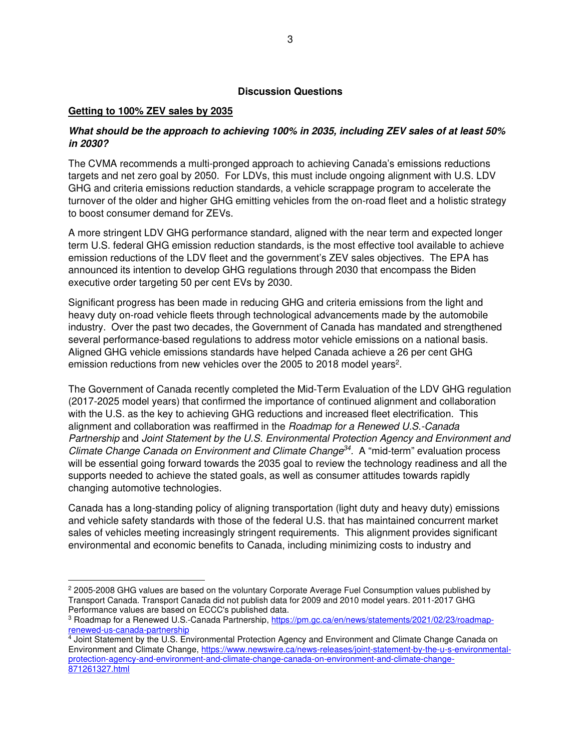### **Discussion Questions**

#### **Getting to 100% ZEV sales by 2035**

# **What should be the approach to achieving 100% in 2035, including ZEV sales of at least 50% in 2030?**

The CVMA recommends a multi-pronged approach to achieving Canada's emissions reductions targets and net zero goal by 2050. For LDVs, this must include ongoing alignment with U.S. LDV GHG and criteria emissions reduction standards, a vehicle scrappage program to accelerate the turnover of the older and higher GHG emitting vehicles from the on-road fleet and a holistic strategy to boost consumer demand for ZEVs.

A more stringent LDV GHG performance standard, aligned with the near term and expected longer term U.S. federal GHG emission reduction standards, is the most effective tool available to achieve emission reductions of the LDV fleet and the government's ZEV sales objectives.The EPA has announced its intention to develop GHG regulations through 2030 that encompass the Biden executive order targeting 50 per cent EVs by 2030.

Significant progress has been made in reducing GHG and criteria emissions from the light and heavy duty on-road vehicle fleets through technological advancements made by the automobile industry. Over the past two decades, the Government of Canada has mandated and strengthened several performance-based regulations to address motor vehicle emissions on a national basis. Aligned GHG vehicle emissions standards have helped Canada achieve a 26 per cent GHG emission reductions from new vehicles over the 2005 to 2018 model years<sup>2</sup>.

The Government of Canada recently completed the Mid-Term Evaluation of the LDV GHG regulation (2017-2025 model years) that confirmed the importance of continued alignment and collaboration with the U.S. as the key to achieving GHG reductions and increased fleet electrification. This alignment and collaboration was reaffirmed in the Roadmap for a Renewed U.S.-Canada Partnership and Joint Statement by the U.S. Environmental Protection Agency and Environment and Climate Change Canada on Environment and Climate Change<sup>34</sup>. A "mid-term" evaluation process will be essential going forward towards the 2035 goal to review the technology readiness and all the supports needed to achieve the stated goals, as well as consumer attitudes towards rapidly changing automotive technologies.

Canada has a long-standing policy of aligning transportation (light duty and heavy duty) emissions and vehicle safety standards with those of the federal U.S. that has maintained concurrent market sales of vehicles meeting increasingly stringent requirements. This alignment provides significant environmental and economic benefits to Canada, including minimizing costs to industry and

<sup>&</sup>lt;sup>2</sup> 2005-2008 GHG values are based on the voluntary Corporate Average Fuel Consumption values published by Transport Canada. Transport Canada did not publish data for 2009 and 2010 model years. 2011-2017 GHG Performance values are based on ECCC's published data.

<sup>&</sup>lt;sup>3</sup> Roadmap for a Renewed U.S.-Canada Partnership, <u>https://pm.gc.ca/en/news/statements/2021/02/23/roadmap-</u>

<sup>&</sup>lt;u>renewed-us-canada-partnership</u><br><sup>4</sup> Joint Statement by the U.S. Environmental Protection Agency and Environment and Climate Change Canada on Environment and Climate Change, https://www.newswire.ca/news-releases/joint-statement-by-the-u-s-environmentalprotection-agency-and-environment-and-climate-change-canada-on-environment-and-climate-change-871261327.html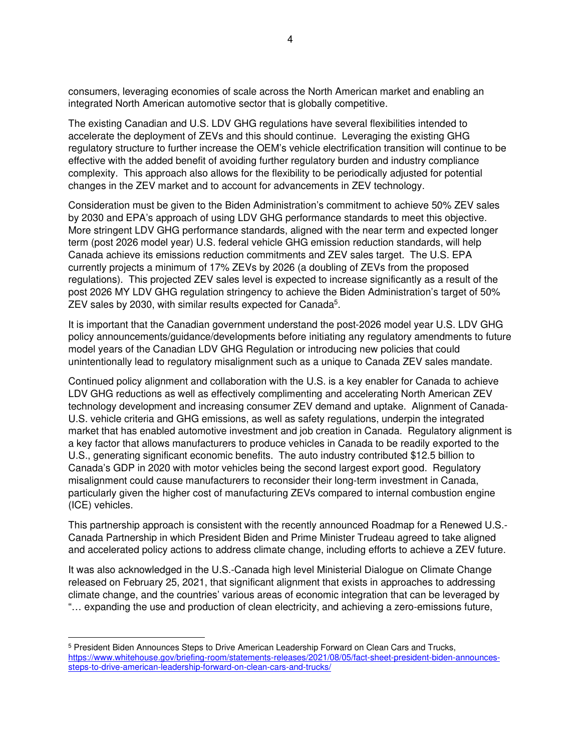consumers, leveraging economies of scale across the North American market and enabling an integrated North American automotive sector that is globally competitive.

The existing Canadian and U.S. LDV GHG regulations have several flexibilities intended to accelerate the deployment of ZEVs and this should continue. Leveraging the existing GHG regulatory structure to further increase the OEM's vehicle electrification transition will continue to be effective with the added benefit of avoiding further regulatory burden and industry compliance complexity. This approach also allows for the flexibility to be periodically adjusted for potential changes in the ZEV market and to account for advancements in ZEV technology.

Consideration must be given to the Biden Administration's commitment to achieve 50% ZEV sales by 2030 and EPA's approach of using LDV GHG performance standards to meet this objective. More stringent LDV GHG performance standards, aligned with the near term and expected longer term (post 2026 model year) U.S. federal vehicle GHG emission reduction standards, will help Canada achieve its emissions reduction commitments and ZEV sales target. The U.S. EPA currently projects a minimum of 17% ZEVs by 2026 (a doubling of ZEVs from the proposed regulations). This projected ZEV sales level is expected to increase significantly as a result of the post 2026 MY LDV GHG regulation stringency to achieve the Biden Administration's target of 50% ZEV sales by 2030, with similar results expected for Canada<sup>5</sup>.

It is important that the Canadian government understand the post-2026 model year U.S. LDV GHG policy announcements/guidance/developments before initiating any regulatory amendments to future model years of the Canadian LDV GHG Regulation or introducing new policies that could unintentionally lead to regulatory misalignment such as a unique to Canada ZEV sales mandate.

Continued policy alignment and collaboration with the U.S. is a key enabler for Canada to achieve LDV GHG reductions as well as effectively complimenting and accelerating North American ZEV technology development and increasing consumer ZEV demand and uptake. Alignment of Canada-U.S. vehicle criteria and GHG emissions, as well as safety regulations, underpin the integrated market that has enabled automotive investment and job creation in Canada. Regulatory alignment is a key factor that allows manufacturers to produce vehicles in Canada to be readily exported to the U.S., generating significant economic benefits. The auto industry contributed \$12.5 billion to Canada's GDP in 2020 with motor vehicles being the second largest export good. Regulatory misalignment could cause manufacturers to reconsider their long-term investment in Canada, particularly given the higher cost of manufacturing ZEVs compared to internal combustion engine (ICE) vehicles.

This partnership approach is consistent with the recently announced Roadmap for a Renewed U.S.- Canada Partnership in which President Biden and Prime Minister Trudeau agreed to take aligned and accelerated policy actions to address climate change, including efforts to achieve a ZEV future.

It was also acknowledged in the U.S.-Canada high level Ministerial Dialogue on Climate Change released on February 25, 2021, that significant alignment that exists in approaches to addressing climate change, and the countries' various areas of economic integration that can be leveraged by "… expanding the use and production of clean electricity, and achieving a zero-emissions future,

<sup>&</sup>lt;sup>5</sup> President Biden Announces Steps to Drive American Leadership Forward on Clean Cars and Trucks, https://www.whitehouse.gov/briefing-room/statements-releases/2021/08/05/fact-sheet-president-biden-announcessteps-to-drive-american-leadership-forward-on-clean-cars-and-trucks/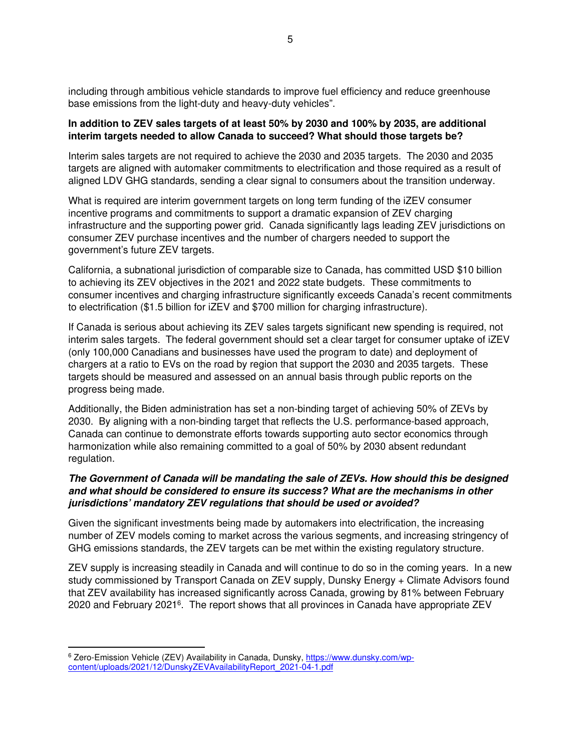including through ambitious vehicle standards to improve fuel efficiency and reduce greenhouse base emissions from the light-duty and heavy-duty vehicles".

#### **In addition to ZEV sales targets of at least 50% by 2030 and 100% by 2035, are additional interim targets needed to allow Canada to succeed? What should those targets be?**

Interim sales targets are not required to achieve the 2030 and 2035 targets. The 2030 and 2035 targets are aligned with automaker commitments to electrification and those required as a result of aligned LDV GHG standards, sending a clear signal to consumers about the transition underway.

What is required are interim government targets on long term funding of the iZEV consumer incentive programs and commitments to support a dramatic expansion of ZEV charging infrastructure and the supporting power grid. Canada significantly lags leading ZEV jurisdictions on consumer ZEV purchase incentives and the number of chargers needed to support the government's future ZEV targets.

California, a subnational jurisdiction of comparable size to Canada, has committed USD \$10 billion to achieving its ZEV objectives in the 2021 and 2022 state budgets. These commitments to consumer incentives and charging infrastructure significantly exceeds Canada's recent commitments to electrification (\$1.5 billion for iZEV and \$700 million for charging infrastructure).

If Canada is serious about achieving its ZEV sales targets significant new spending is required, not interim sales targets. The federal government should set a clear target for consumer uptake of iZEV (only 100,000 Canadians and businesses have used the program to date) and deployment of chargers at a ratio to EVs on the road by region that support the 2030 and 2035 targets. These targets should be measured and assessed on an annual basis through public reports on the progress being made.

Additionally, the Biden administration has set a non-binding target of achieving 50% of ZEVs by 2030. By aligning with a non-binding target that reflects the U.S. performance-based approach, Canada can continue to demonstrate efforts towards supporting auto sector economics through harmonization while also remaining committed to a goal of 50% by 2030 absent redundant regulation.

# **The Government of Canada will be mandating the sale of ZEVs. How should this be designed and what should be considered to ensure its success? What are the mechanisms in other jurisdictions' mandatory ZEV regulations that should be used or avoided?**

Given the significant investments being made by automakers into electrification, the increasing number of ZEV models coming to market across the various segments, and increasing stringency of GHG emissions standards, the ZEV targets can be met within the existing regulatory structure.

ZEV supply is increasing steadily in Canada and will continue to do so in the coming years. In a new study commissioned by Transport Canada on ZEV supply, Dunsky Energy + Climate Advisors found that ZEV availability has increased significantly across Canada, growing by 81% between February 2020 and February 2021<sup>6</sup>. The report shows that all provinces in Canada have appropriate ZEV

<sup>&</sup>lt;sup>6</sup> Zero-Emission Vehicle (ZEV) Availability in Canada, Dunsky, https://www.dunsky.com/wpcontent/uploads/2021/12/DunskyZEVAvailabilityReport\_2021-04-1.pdf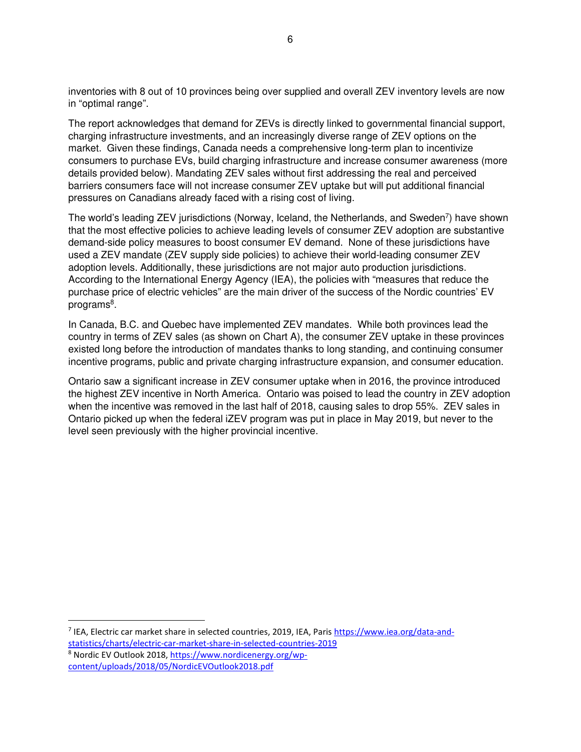inventories with 8 out of 10 provinces being over supplied and overall ZEV inventory levels are now in "optimal range".

The report acknowledges that demand for ZEVs is directly linked to governmental financial support, charging infrastructure investments, and an increasingly diverse range of ZEV options on the market. Given these findings, Canada needs a comprehensive long-term plan to incentivize consumers to purchase EVs, build charging infrastructure and increase consumer awareness (more details provided below). Mandating ZEV sales without first addressing the real and perceived barriers consumers face will not increase consumer ZEV uptake but will put additional financial pressures on Canadians already faced with a rising cost of living.

The world's leading ZEV jurisdictions (Norway, Iceland, the Netherlands, and Sweden<sup>7</sup>) have shown that the most effective policies to achieve leading levels of consumer ZEV adoption are substantive demand-side policy measures to boost consumer EV demand. None of these jurisdictions have used a ZEV mandate (ZEV supply side policies) to achieve their world-leading consumer ZEV adoption levels. Additionally, these jurisdictions are not major auto production jurisdictions. According to the International Energy Agency (IEA), the policies with "measures that reduce the purchase price of electric vehicles" are the main driver of the success of the Nordic countries' EV programs<sup>8</sup>.

In Canada, B.C. and Quebec have implemented ZEV mandates. While both provinces lead the country in terms of ZEV sales (as shown on Chart A), the consumer ZEV uptake in these provinces existed long before the introduction of mandates thanks to long standing, and continuing consumer incentive programs, public and private charging infrastructure expansion, and consumer education.

Ontario saw a significant increase in ZEV consumer uptake when in 2016, the province introduced the highest ZEV incentive in North America. Ontario was poised to lead the country in ZEV adoption when the incentive was removed in the last half of 2018, causing sales to drop 55%. ZEV sales in Ontario picked up when the federal iZEV program was put in place in May 2019, but never to the level seen previously with the higher provincial incentive.

<sup>7</sup> IEA, Electric car market share in selected countries, 2019, IEA, Paris https://www.iea.org/data-andstatistics/charts/electric-car-market-share-in-selected-countries-2019

<sup>8</sup> Nordic EV Outlook 2018, https://www.nordicenergy.org/wpcontent/uploads/2018/05/NordicEVOutlook2018.pdf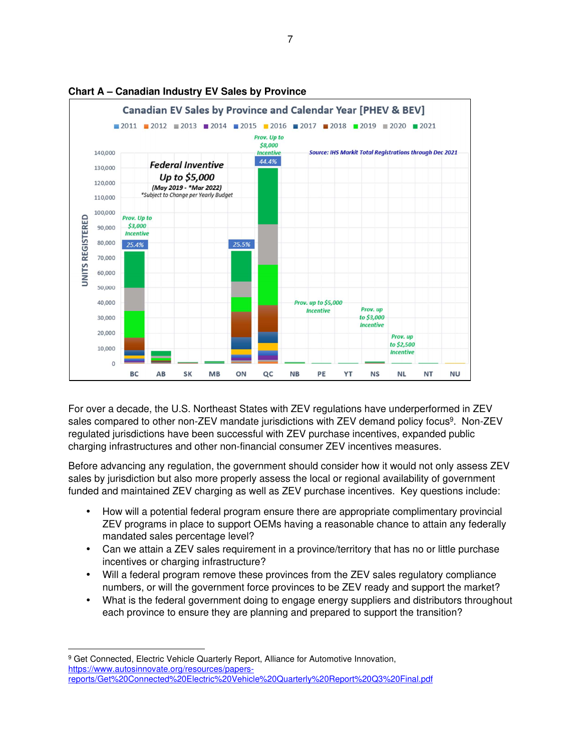

# **Chart A – Canadian Industry EV Sales by Province**

For over a decade, the U.S. Northeast States with ZEV regulations have underperformed in ZEV sales compared to other non-ZEV mandate jurisdictions with ZEV demand policy focus<sup>9</sup>. Non-ZEV regulated jurisdictions have been successful with ZEV purchase incentives, expanded public charging infrastructures and other non-financial consumer ZEV incentives measures.

Before advancing any regulation, the government should consider how it would not only assess ZEV sales by jurisdiction but also more properly assess the local or regional availability of government funded and maintained ZEV charging as well as ZEV purchase incentives. Key questions include:

- How will a potential federal program ensure there are appropriate complimentary provincial ZEV programs in place to support OEMs having a reasonable chance to attain any federally mandated sales percentage level?
- Can we attain a ZEV sales requirement in a province/territory that has no or little purchase incentives or charging infrastructure?
- Will a federal program remove these provinces from the ZEV sales regulatory compliance numbers, or will the government force provinces to be ZEV ready and support the market?
- What is the federal government doing to engage energy suppliers and distributors throughout each province to ensure they are planning and prepared to support the transition?

<sup>&</sup>lt;sup>9</sup> Get Connected, Electric Vehicle Quarterly Report, Alliance for Automotive Innovation, https://www.autosinnovate.org/resources/papersreports/Get%20Connected%20Electric%20Vehicle%20Quarterly%20Report%20Q3%20Final.pdf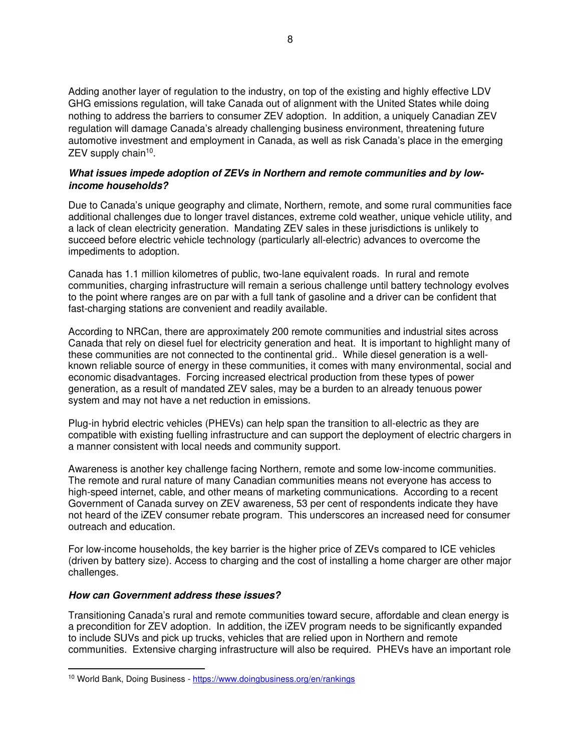Adding another layer of regulation to the industry, on top of the existing and highly effective LDV GHG emissions regulation, will take Canada out of alignment with the United States while doing nothing to address the barriers to consumer ZEV adoption. In addition, a uniquely Canadian ZEV regulation will damage Canada's already challenging business environment, threatening future automotive investment and employment in Canada, as well as risk Canada's place in the emerging ZEV supply chain<sup>10</sup>.

#### **What issues impede adoption of ZEVs in Northern and remote communities and by lowincome households?**

Due to Canada's unique geography and climate, Northern, remote, and some rural communities face additional challenges due to longer travel distances, extreme cold weather, unique vehicle utility, and a lack of clean electricity generation. Mandating ZEV sales in these jurisdictions is unlikely to succeed before electric vehicle technology (particularly all-electric) advances to overcome the impediments to adoption.

Canada has 1.1 million kilometres of public, two-lane equivalent roads. In rural and remote communities, charging infrastructure will remain a serious challenge until battery technology evolves to the point where ranges are on par with a full tank of gasoline and a driver can be confident that fast-charging stations are convenient and readily available.

According to NRCan, there are approximately 200 remote communities and industrial sites across Canada that rely on diesel fuel for electricity generation and heat. It is important to highlight many of these communities are not connected to the continental grid.. While diesel generation is a wellknown reliable source of energy in these communities, it comes with many environmental, social and economic disadvantages. Forcing increased electrical production from these types of power generation, as a result of mandated ZEV sales, may be a burden to an already tenuous power system and may not have a net reduction in emissions.

Plug-in hybrid electric vehicles (PHEVs) can help span the transition to all-electric as they are compatible with existing fuelling infrastructure and can support the deployment of electric chargers in a manner consistent with local needs and community support.

Awareness is another key challenge facing Northern, remote and some low-income communities. The remote and rural nature of many Canadian communities means not everyone has access to high-speed internet, cable, and other means of marketing communications. According to a recent Government of Canada survey on ZEV awareness, 53 per cent of respondents indicate they have not heard of the iZEV consumer rebate program. This underscores an increased need for consumer outreach and education.

For low-income households, the key barrier is the higher price of ZEVs compared to ICE vehicles (driven by battery size). Access to charging and the cost of installing a home charger are other major challenges.

# **How can Government address these issues?**

Transitioning Canada's rural and remote communities toward secure, affordable and clean energy is a precondition for ZEV adoption. In addition, the iZEV program needs to be significantly expanded to include SUVs and pick up trucks, vehicles that are relied upon in Northern and remote communities. Extensive charging infrastructure will also be required. PHEVs have an important role

<sup>10</sup> World Bank, Doing Business - https://www.doingbusiness.org/en/rankings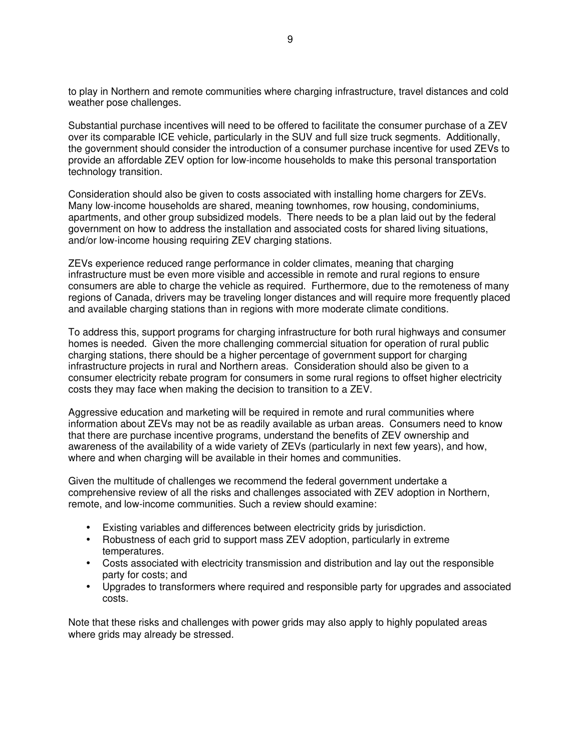to play in Northern and remote communities where charging infrastructure, travel distances and cold weather pose challenges.

Substantial purchase incentives will need to be offered to facilitate the consumer purchase of a ZEV over its comparable ICE vehicle, particularly in the SUV and full size truck segments. Additionally, the government should consider the introduction of a consumer purchase incentive for used ZEVs to provide an affordable ZEV option for low-income households to make this personal transportation technology transition.

Consideration should also be given to costs associated with installing home chargers for ZEVs. Many low-income households are shared, meaning townhomes, row housing, condominiums, apartments, and other group subsidized models. There needs to be a plan laid out by the federal government on how to address the installation and associated costs for shared living situations, and/or low-income housing requiring ZEV charging stations.

ZEVs experience reduced range performance in colder climates, meaning that charging infrastructure must be even more visible and accessible in remote and rural regions to ensure consumers are able to charge the vehicle as required. Furthermore, due to the remoteness of many regions of Canada, drivers may be traveling longer distances and will require more frequently placed and available charging stations than in regions with more moderate climate conditions.

To address this, support programs for charging infrastructure for both rural highways and consumer homes is needed. Given the more challenging commercial situation for operation of rural public charging stations, there should be a higher percentage of government support for charging infrastructure projects in rural and Northern areas. Consideration should also be given to a consumer electricity rebate program for consumers in some rural regions to offset higher electricity costs they may face when making the decision to transition to a ZEV.

Aggressive education and marketing will be required in remote and rural communities where information about ZEVs may not be as readily available as urban areas. Consumers need to know that there are purchase incentive programs, understand the benefits of ZEV ownership and awareness of the availability of a wide variety of ZEVs (particularly in next few years), and how, where and when charging will be available in their homes and communities.

Given the multitude of challenges we recommend the federal government undertake a comprehensive review of all the risks and challenges associated with ZEV adoption in Northern, remote, and low-income communities. Such a review should examine:

- Existing variables and differences between electricity grids by jurisdiction.
- Robustness of each grid to support mass ZEV adoption, particularly in extreme temperatures.
- Costs associated with electricity transmission and distribution and lay out the responsible party for costs; and
- Upgrades to transformers where required and responsible party for upgrades and associated costs.

Note that these risks and challenges with power grids may also apply to highly populated areas where grids may already be stressed.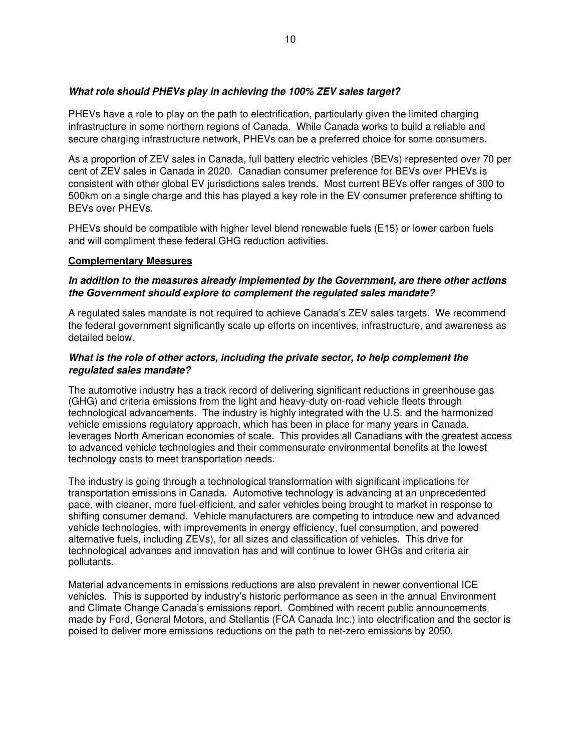### **What role should PHEVs play in achieving the 100% ZEV sales target?**

PHEVs have a role to play on the path to electrification, particularly given the limited charging infrastructure in some northern regions of Canada. While Canada works to build a reliable and secure charging infrastructure network, PHEVs can be a preferred choice for some consumers.

As a proportion of ZEV sales in Canada, full battery electric vehicles (BEVs) represented over 70 per cent of ZEV sales in Canada in 2020. Canadian consumer preference for BEVs over PHEVs is consistent with other global EV jurisdictions sales trends. Most current BEVs offer ranges of 300 to 500km on a single charge and this has played a key role in the EV consumer preference shifting to BEVs over PHEVs.

PHEVs should be compatible with higher level blend renewable fuels (E15) or lower carbon fuels and will compliment these federal GHG reduction activities.

#### **Complementary Measures**

#### **In addition to the measures already implemented by the Government, are there other actions the Government should explore to complement the regulated sales mandate?**

A regulated sales mandate is not required to achieve Canada's ZEV sales targets. We recommend the federal government significantly scale up efforts on incentives, infrastructure, and awareness as detailed below.

#### **What is the role of other actors, including the private sector, to help complement the regulated sales mandate?**

The automotive industry has a track record of delivering significant reductions in greenhouse gas (GHG) and criteria emissions from the light and heavy-duty on-road vehicle fleets through technological advancements. The industry is highly integrated with the U.S. and the harmonized vehicle emissions regulatory approach, which has been in place for many years in Canada, leverages North American economies of scale. This provides all Canadians with the greatest access to advanced vehicle technologies and their commensurate environmental benefits at the lowest technology costs to meet transportation needs.

The industry is going through a technological transformation with significant implications for transportation emissions in Canada. Automotive technology is advancing at an unprecedented pace, with cleaner, more fuel-efficient, and safer vehicles being brought to market in response to shifting consumer demand. Vehicle manufacturers are competing to introduce new and advanced vehicle technologies, with improvements in energy efficiency, fuel consumption, and powered alternative fuels, including ZEVs), for all sizes and classification of vehicles. This drive for technological advances and innovation has and will continue to lower GHGs and criteria air pollutants.

Material advancements in emissions reductions are also prevalent in newer conventional ICE vehicles. This is supported by industry's historic performance as seen in the annual Environment and Climate Change Canada's emissions report. Combined with recent public announcements made by Ford, General Motors, and Stellantis (FCA Canada Inc.) into electrification and the sector is poised to deliver more emissions reductions on the path to net-zero emissions by 2050.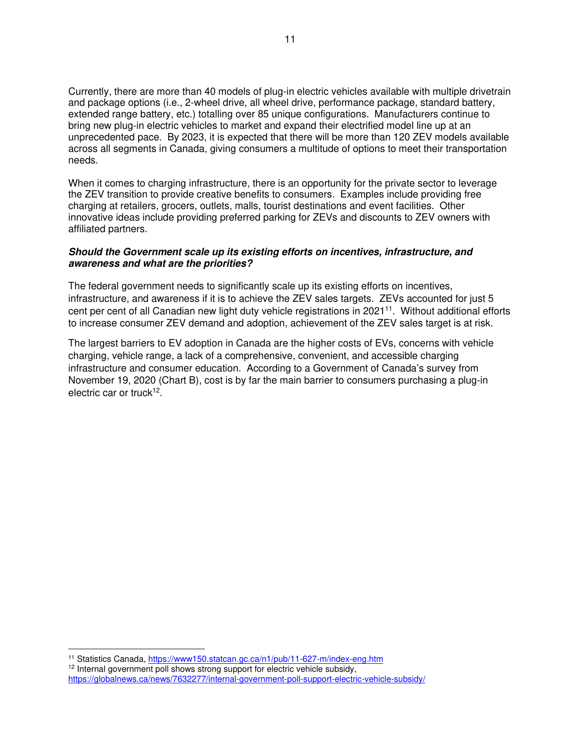Currently, there are more than 40 models of plug-in electric vehicles available with multiple drivetrain and package options (i.e., 2-wheel drive, all wheel drive, performance package, standard battery, extended range battery, etc.) totalling over 85 unique configurations. Manufacturers continue to bring new plug-in electric vehicles to market and expand their electrified model line up at an unprecedented pace. By 2023, it is expected that there will be more than 120 ZEV models available across all segments in Canada, giving consumers a multitude of options to meet their transportation needs.

When it comes to charging infrastructure, there is an opportunity for the private sector to leverage the ZEV transition to provide creative benefits to consumers. Examples include providing free charging at retailers, grocers, outlets, malls, tourist destinations and event facilities. Other innovative ideas include providing preferred parking for ZEVs and discounts to ZEV owners with affiliated partners.

#### **Should the Government scale up its existing efforts on incentives, infrastructure, and awareness and what are the priorities?**

The federal government needs to significantly scale up its existing efforts on incentives, infrastructure, and awareness if it is to achieve the ZEV sales targets. ZEVs accounted for just 5 cent per cent of all Canadian new light duty vehicle registrations in 2021<sup>11</sup>. Without additional efforts to increase consumer ZEV demand and adoption, achievement of the ZEV sales target is at risk.

The largest barriers to EV adoption in Canada are the higher costs of EVs, concerns with vehicle charging, vehicle range, a lack of a comprehensive, convenient, and accessible charging infrastructure and consumer education. According to a Government of Canada's survey from November 19, 2020 (Chart B), cost is by far the main barrier to consumers purchasing a plug-in electric car or truck<sup>12</sup>.

<sup>11</sup> Statistics Canada, https://www150.statcan.gc.ca/n1/pub/11-627-m/index-eng.htm

<sup>&</sup>lt;sup>12</sup> Internal government poll shows strong support for electric vehicle subsidy, https://globalnews.ca/news/7632277/internal-government-poll-support-electric-vehicle-subsidy/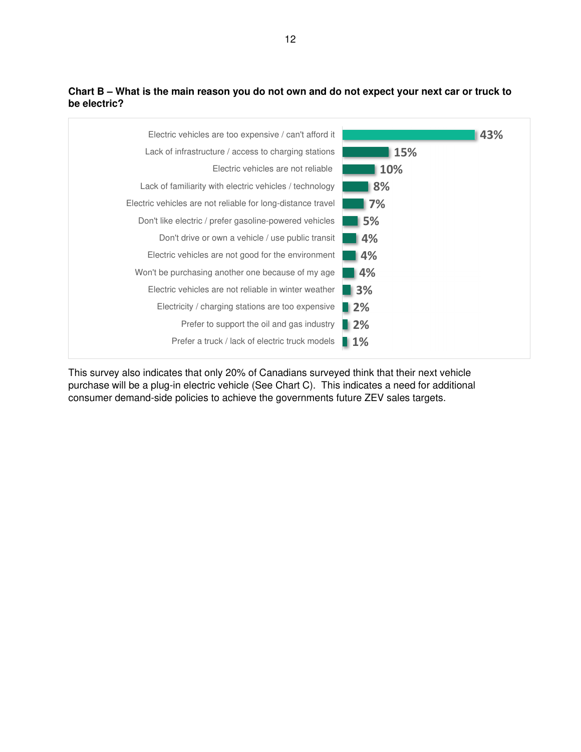# **Chart B – What is the main reason you do not own and do not expect your next car or truck to be electric?**



This survey also indicates that only 20% of Canadians surveyed think that their next vehicle purchase will be a plug-in electric vehicle (See Chart C). This indicates a need for additional consumer demand-side policies to achieve the governments future ZEV sales targets.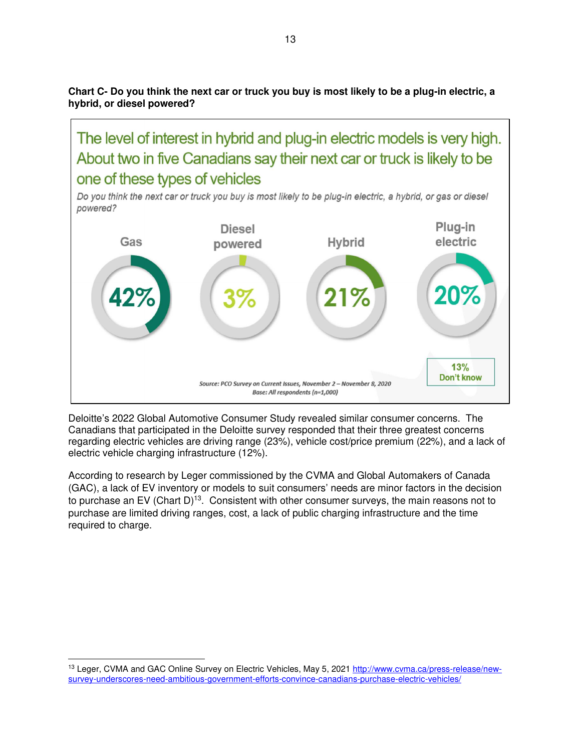**Chart C- Do you think the next car or truck you buy is most likely to be a plug-in electric, a hybrid, or diesel powered?** 

The level of interest in hybrid and plug-in electric models is very high. About two in five Canadians say their next car or truck is likely to be one of these types of vehicles

Do you think the next car or truck you buy is most likely to be plug-in electric, a hybrid, or gas or diesel powered?



Deloitte's 2022 Global Automotive Consumer Study revealed similar consumer concerns. The Canadians that participated in the Deloitte survey responded that their three greatest concerns regarding electric vehicles are driving range (23%), vehicle cost/price premium (22%), and a lack of electric vehicle charging infrastructure (12%).

According to research by Leger commissioned by the CVMA and Global Automakers of Canada (GAC), a lack of EV inventory or models to suit consumers' needs are minor factors in the decision to purchase an EV (Chart D)<sup>13</sup>. Consistent with other consumer surveys, the main reasons not to purchase are limited driving ranges, cost, a lack of public charging infrastructure and the time required to charge.

<sup>13</sup> Leger, CVMA and GAC Online Survey on Electric Vehicles, May 5, 2021 http://www.cvma.ca/press-release/newsurvey-underscores-need-ambitious-government-efforts-convince-canadians-purchase-electric-vehicles/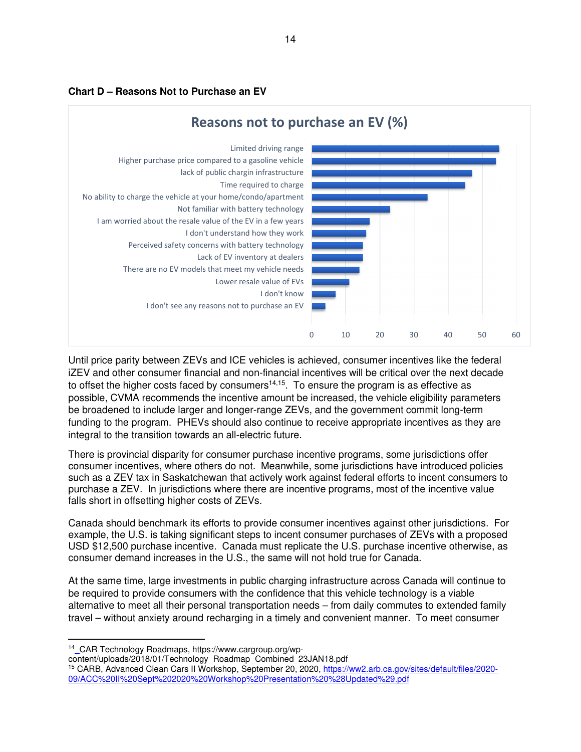



Until price parity between ZEVs and ICE vehicles is achieved, consumer incentives like the federal iZEV and other consumer financial and non-financial incentives will be critical over the next decade to offset the higher costs faced by consumers<sup>14,15</sup>. To ensure the program is as effective as possible, CVMA recommends the incentive amount be increased, the vehicle eligibility parameters be broadened to include larger and longer-range ZEVs, and the government commit long-term funding to the program. PHEVs should also continue to receive appropriate incentives as they are integral to the transition towards an all-electric future.

There is provincial disparity for consumer purchase incentive programs, some jurisdictions offer consumer incentives, where others do not. Meanwhile, some jurisdictions have introduced policies such as a ZEV tax in Saskatchewan that actively work against federal efforts to incent consumers to purchase a ZEV. In jurisdictions where there are incentive programs, most of the incentive value falls short in offsetting higher costs of ZEVs.

Canada should benchmark its efforts to provide consumer incentives against other jurisdictions. For example, the U.S. is taking significant steps to incent consumer purchases of ZEVs with a proposed USD \$12,500 purchase incentive. Canada must replicate the U.S. purchase incentive otherwise, as consumer demand increases in the U.S., the same will not hold true for Canada.

At the same time, large investments in public charging infrastructure across Canada will continue to be required to provide consumers with the confidence that this vehicle technology is a viable alternative to meet all their personal transportation needs – from daily commutes to extended family travel – without anxiety around recharging in a timely and convenient manner. To meet consumer

content/uploads/2018/01/Technology\_Roadmap\_Combined\_23JAN18.pdf

<sup>14</sup> CAR Technology Roadmaps, https://www.cargroup.org/wp-

<sup>15</sup> CARB, Advanced Clean Cars II Workshop, September 20, 2020, https://ww2.arb.ca.gov/sites/default/files/2020- 09/ACC%20II%20Sept%202020%20Workshop%20Presentation%20%28Updated%29.pdf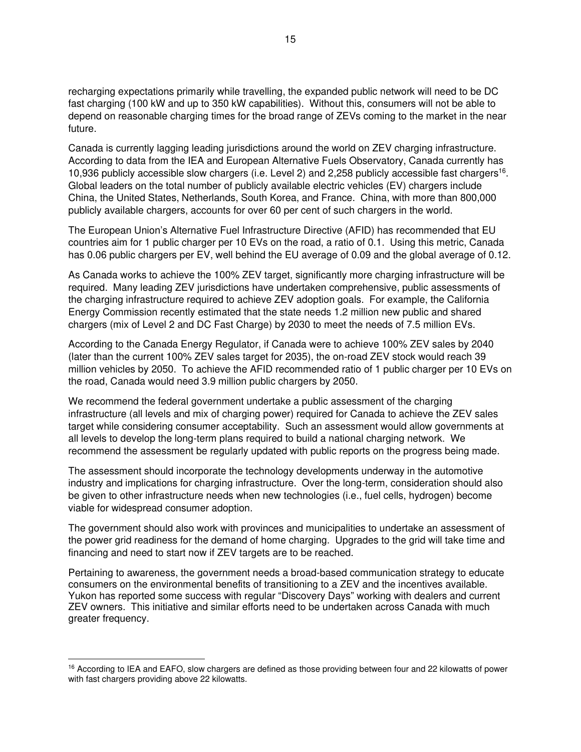recharging expectations primarily while travelling, the expanded public network will need to be DC fast charging (100 kW and up to 350 kW capabilities). Without this, consumers will not be able to depend on reasonable charging times for the broad range of ZEVs coming to the market in the near future.

Canada is currently lagging leading jurisdictions around the world on ZEV charging infrastructure. According to data from the IEA and European Alternative Fuels Observatory, Canada currently has 10,936 publicly accessible slow chargers (i.e. Level 2) and 2,258 publicly accessible fast chargers<sup>16</sup>. Global leaders on the total number of publicly available electric vehicles (EV) chargers include China, the United States, Netherlands, South Korea, and France. China, with more than 800,000 publicly available chargers, accounts for over 60 per cent of such chargers in the world.

The European Union's Alternative Fuel Infrastructure Directive (AFID) has recommended that EU countries aim for 1 public charger per 10 EVs on the road, a ratio of 0.1. Using this metric, Canada has 0.06 public chargers per EV, well behind the EU average of 0.09 and the global average of 0.12.

As Canada works to achieve the 100% ZEV target, significantly more charging infrastructure will be required. Many leading ZEV jurisdictions have undertaken comprehensive, public assessments of the charging infrastructure required to achieve ZEV adoption goals. For example, the California Energy Commission recently estimated that the state needs 1.2 million new public and shared chargers (mix of Level 2 and DC Fast Charge) by 2030 to meet the needs of 7.5 million EVs.

According to the Canada Energy Regulator, if Canada were to achieve 100% ZEV sales by 2040 (later than the current 100% ZEV sales target for 2035), the on-road ZEV stock would reach 39 million vehicles by 2050. To achieve the AFID recommended ratio of 1 public charger per 10 EVs on the road, Canada would need 3.9 million public chargers by 2050.

We recommend the federal government undertake a public assessment of the charging infrastructure (all levels and mix of charging power) required for Canada to achieve the ZEV sales target while considering consumer acceptability. Such an assessment would allow governments at all levels to develop the long-term plans required to build a national charging network. We recommend the assessment be regularly updated with public reports on the progress being made.

The assessment should incorporate the technology developments underway in the automotive industry and implications for charging infrastructure. Over the long-term, consideration should also be given to other infrastructure needs when new technologies (i.e., fuel cells, hydrogen) become viable for widespread consumer adoption.

The government should also work with provinces and municipalities to undertake an assessment of the power grid readiness for the demand of home charging. Upgrades to the grid will take time and financing and need to start now if ZEV targets are to be reached.

Pertaining to awareness, the government needs a broad-based communication strategy to educate consumers on the environmental benefits of transitioning to a ZEV and the incentives available. Yukon has reported some success with regular "Discovery Days" working with dealers and current ZEV owners. This initiative and similar efforts need to be undertaken across Canada with much greater frequency.

<sup>&</sup>lt;sup>16</sup> According to IEA and EAFO, slow chargers are defined as those providing between four and 22 kilowatts of power with fast chargers providing above 22 kilowatts.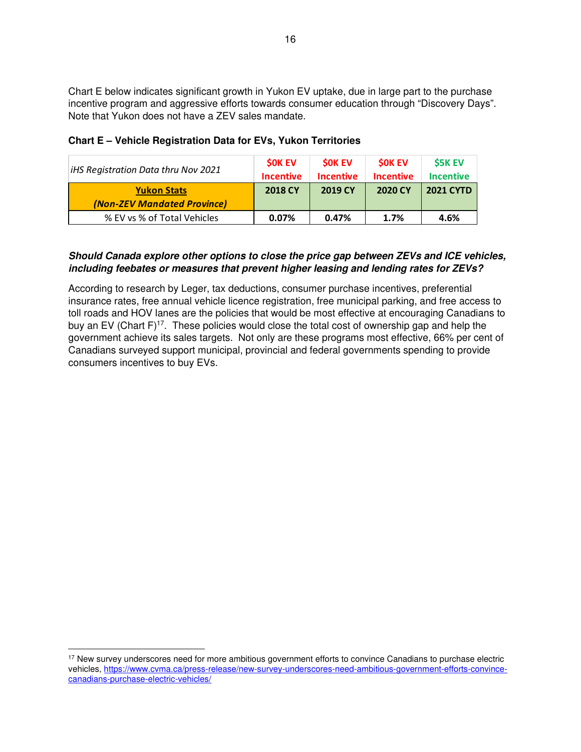Chart E below indicates significant growth in Yukon EV uptake, due in large part to the purchase incentive program and aggressive efforts towards consumer education through "Discovery Days". Note that Yukon does not have a ZEV sales mandate.

| iHS Registration Data thru Nov 2021               | <b>SOK EV</b><br><b>Incentive</b> | <b>SOK EV</b><br><b>Incentive</b> | <b><i>SOK EV</i></b><br><b>Incentive</b> | <b>S5K EV</b><br><b>Incentive</b> |
|---------------------------------------------------|-----------------------------------|-----------------------------------|------------------------------------------|-----------------------------------|
| <b>Yukon Stats</b><br>(Non-ZEV Mandated Province) | <b>2018 CY</b>                    | 2019 CY                           | 2020 CY                                  | <b>2021 CYTD</b>                  |
| % EV vs % of Total Vehicles                       | 0.07%                             | 0.47%                             | 1.7%                                     | 4.6%                              |

# **Chart E – Vehicle Registration Data for EVs, Yukon Territories**

# **Should Canada explore other options to close the price gap between ZEVs and ICE vehicles, including feebates or measures that prevent higher leasing and lending rates for ZEVs?**

According to research by Leger, tax deductions, consumer purchase incentives, preferential insurance rates, free annual vehicle licence registration, free municipal parking, and free access to toll roads and HOV lanes are the policies that would be most effective at encouraging Canadians to buy an EV (Chart  $F$ )<sup>17</sup>. These policies would close the total cost of ownership gap and help the government achieve its sales targets. Not only are these programs most effective, 66% per cent of Canadians surveyed support municipal, provincial and federal governments spending to provide consumers incentives to buy EVs.

<sup>&</sup>lt;sup>17</sup> New survey underscores need for more ambitious government efforts to convince Canadians to purchase electric vehicles, https://www.cvma.ca/press-release/new-survey-underscores-need-ambitious-government-efforts-convincecanadians-purchase-electric-vehicles/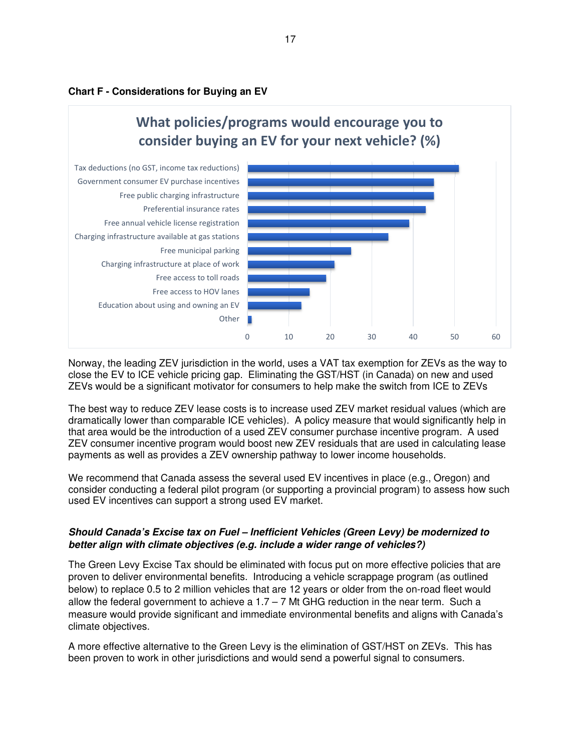



Norway, the leading ZEV jurisdiction in the world, uses a VAT tax exemption for ZEVs as the way to close the EV to ICE vehicle pricing gap. Eliminating the GST/HST (in Canada) on new and used ZEVs would be a significant motivator for consumers to help make the switch from ICE to ZEVs

The best way to reduce ZEV lease costs is to increase used ZEV market residual values (which are dramatically lower than comparable ICE vehicles). A policy measure that would significantly help in that area would be the introduction of a used ZEV consumer purchase incentive program. A used ZEV consumer incentive program would boost new ZEV residuals that are used in calculating lease payments as well as provides a ZEV ownership pathway to lower income households.

We recommend that Canada assess the several used EV incentives in place (e.g., Oregon) and consider conducting a federal pilot program (or supporting a provincial program) to assess how such used EV incentives can support a strong used EV market.

### **Should Canada's Excise tax on Fuel – Inefficient Vehicles (Green Levy) be modernized to better align with climate objectives (e.g. include a wider range of vehicles?)**

The Green Levy Excise Tax should be eliminated with focus put on more effective policies that are proven to deliver environmental benefits. Introducing a vehicle scrappage program (as outlined below) to replace 0.5 to 2 million vehicles that are 12 years or older from the on-road fleet would allow the federal government to achieve a  $1.7 - 7$  Mt GHG reduction in the near term. Such a measure would provide significant and immediate environmental benefits and aligns with Canada's climate objectives.

A more effective alternative to the Green Levy is the elimination of GST/HST on ZEVs. This has been proven to work in other jurisdictions and would send a powerful signal to consumers.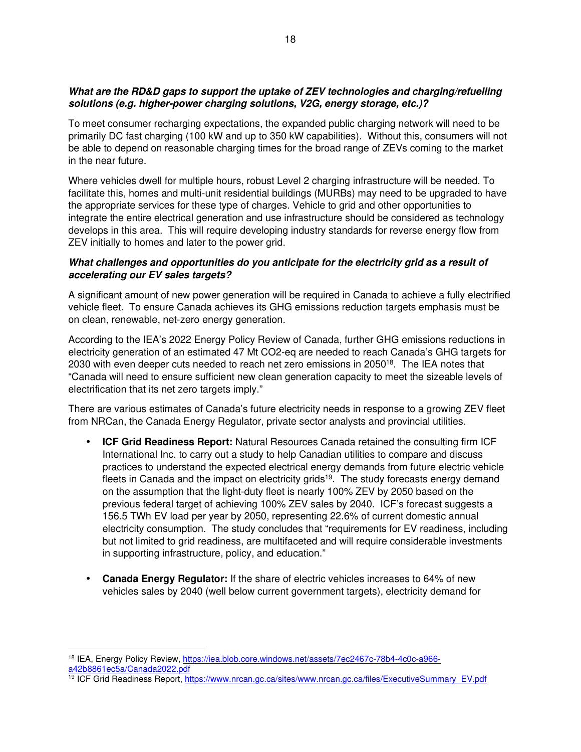# **What are the RD&D gaps to support the uptake of ZEV technologies and charging/refuelling solutions (e.g. higher-power charging solutions, V2G, energy storage, etc.)?**

To meet consumer recharging expectations, the expanded public charging network will need to be primarily DC fast charging (100 kW and up to 350 kW capabilities). Without this, consumers will not be able to depend on reasonable charging times for the broad range of ZEVs coming to the market in the near future.

Where vehicles dwell for multiple hours, robust Level 2 charging infrastructure will be needed. To facilitate this, homes and multi-unit residential buildings (MURBs) may need to be upgraded to have the appropriate services for these type of charges. Vehicle to grid and other opportunities to integrate the entire electrical generation and use infrastructure should be considered as technology develops in this area. This will require developing industry standards for reverse energy flow from ZEV initially to homes and later to the power grid.

### **What challenges and opportunities do you anticipate for the electricity grid as a result of accelerating our EV sales targets?**

A significant amount of new power generation will be required in Canada to achieve a fully electrified vehicle fleet. To ensure Canada achieves its GHG emissions reduction targets emphasis must be on clean, renewable, net-zero energy generation.

According to the IEA's 2022 Energy Policy Review of Canada, further GHG emissions reductions in electricity generation of an estimated 47 Mt CO2-eq are needed to reach Canada's GHG targets for 2030 with even deeper cuts needed to reach net zero emissions in 2050<sup>18</sup>. The IEA notes that "Canada will need to ensure sufficient new clean generation capacity to meet the sizeable levels of electrification that its net zero targets imply."

There are various estimates of Canada's future electricity needs in response to a growing ZEV fleet from NRCan, the Canada Energy Regulator, private sector analysts and provincial utilities.

- **ICF Grid Readiness Report:** Natural Resources Canada retained the consulting firm ICF International Inc. to carry out a study to help Canadian utilities to compare and discuss practices to understand the expected electrical energy demands from future electric vehicle fleets in Canada and the impact on electricity grids<sup>19</sup>. The study forecasts energy demand on the assumption that the light-duty fleet is nearly 100% ZEV by 2050 based on the previous federal target of achieving 100% ZEV sales by 2040. ICF's forecast suggests a 156.5 TWh EV load per year by 2050, representing 22.6% of current domestic annual electricity consumption. The study concludes that "requirements for EV readiness, including but not limited to grid readiness, are multifaceted and will require considerable investments in supporting infrastructure, policy, and education."
- **Canada Energy Regulator:** If the share of electric vehicles increases to 64% of new vehicles sales by 2040 (well below current government targets), electricity demand for

<sup>19</sup> ICF Grid Readiness Report, https://www.nrcan.gc.ca/sites/www.nrcan.gc.ca/files/ExecutiveSummary\_EV.pdf

<sup>18</sup> IEA, Energy Policy Review, https://iea.blob.core.windows.net/assets/7ec2467c-78b4-4c0c-a966 a42b8861ec5a/Canada2022.pdf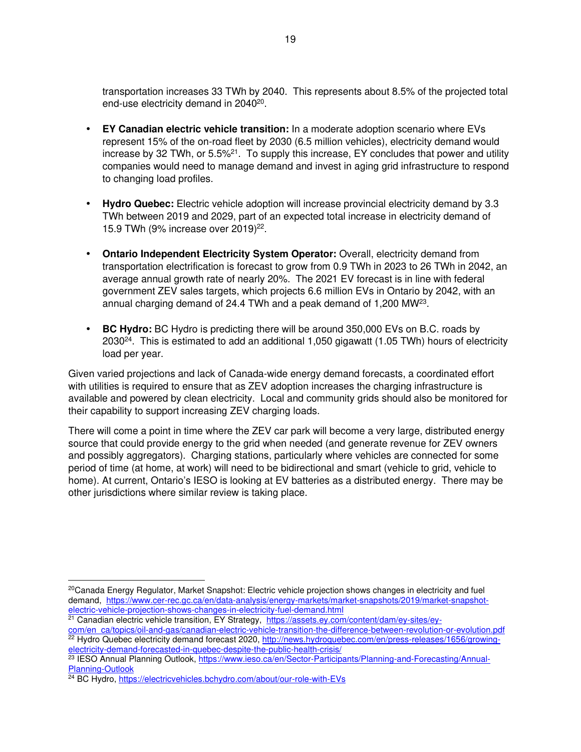transportation increases 33 TWh by 2040. This represents about 8.5% of the projected total end-use electricity demand in 2040<sup>20</sup>.

- **EY Canadian electric vehicle transition:** In a moderate adoption scenario where EVs represent 15% of the on-road fleet by 2030 (6.5 million vehicles), electricity demand would increase by 32 TWh, or  $5.5\%$ <sup>21</sup>. To supply this increase, EY concludes that power and utility companies would need to manage demand and invest in aging grid infrastructure to respond to changing load profiles.
- **Hydro Quebec:** Electric vehicle adoption will increase provincial electricity demand by 3.3 TWh between 2019 and 2029, part of an expected total increase in electricity demand of 15.9 TWh (9% increase over 2019)<sup>22</sup>.
- **Ontario Independent Electricity System Operator:** Overall, electricity demand from transportation electrification is forecast to grow from 0.9 TWh in 2023 to 26 TWh in 2042, an average annual growth rate of nearly 20%. The 2021 EV forecast is in line with federal government ZEV sales targets, which projects 6.6 million EVs in Ontario by 2042, with an annual charging demand of 24.4 TWh and a peak demand of 1,200 MW<sup>23</sup>.
- **BC Hydro:** BC Hydro is predicting there will be around 350,000 EVs on B.C. roads by 2030<sup>24</sup>. This is estimated to add an additional 1,050 gigawatt (1.05 TWh) hours of electricity load per year.

Given varied projections and lack of Canada-wide energy demand forecasts, a coordinated effort with utilities is required to ensure that as ZEV adoption increases the charging infrastructure is available and powered by clean electricity. Local and community grids should also be monitored for their capability to support increasing ZEV charging loads.

There will come a point in time where the ZEV car park will become a very large, distributed energy source that could provide energy to the grid when needed (and generate revenue for ZEV owners and possibly aggregators). Charging stations, particularly where vehicles are connected for some period of time (at home, at work) will need to be bidirectional and smart (vehicle to grid, vehicle to home). At current, Ontario's IESO is looking at EV batteries as a distributed energy. There may be other jurisdictions where similar review is taking place.

<sup>21</sup> Canadian electric vehicle transition, EY Strategy, https://assets.ey.com/content/dam/ey-sites/ey-

<sup>&</sup>lt;sup>20</sup>Canada Energy Regulator, Market Snapshot: Electric vehicle projection shows changes in electricity and fuel demand, https://www.cer-rec.gc.ca/en/data-analysis/energy-markets/market-snapshots/2019/market-snapshotelectric-vehicle-projection-shows-changes-in-electricity-fuel-demand.html

com/en\_ca/topics/oil-and-gas/canadian-electric-vehicle-transition-the-difference-between-revolution-or-evolution.pdf <sup>22</sup> Hydro Quebec electricity demand forecast 2020, http://news.hydroquebec.com/en/press-releases/1656/growingelectricity-demand-forecasted-in-quebec-despite-the-public-health-crisis/

<sup>&</sup>lt;sup>23</sup> IESO Annual Planning Outlook, https://www.ieso.ca/en/Sector-Participants/Planning-and-Forecasting/Annual-Planning-Outlook

<sup>&</sup>lt;sup>24</sup> BC Hydro, https://electricyehicles.bchydro.com/about/our-role-with-EVs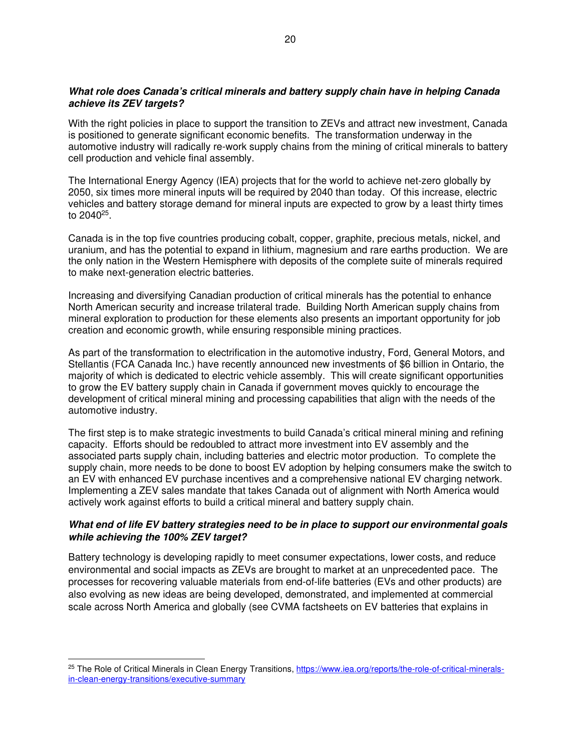### **What role does Canada's critical minerals and battery supply chain have in helping Canada achieve its ZEV targets?**

With the right policies in place to support the transition to ZEVs and attract new investment, Canada is positioned to generate significant economic benefits. The transformation underway in the automotive industry will radically re-work supply chains from the mining of critical minerals to battery cell production and vehicle final assembly.

The International Energy Agency (IEA) projects that for the world to achieve net-zero globally by 2050, six times more mineral inputs will be required by 2040 than today. Of this increase, electric vehicles and battery storage demand for mineral inputs are expected to grow by a least thirty times to 2040<sup>25</sup>.

Canada is in the top five countries producing cobalt, copper, graphite, precious metals, nickel, and uranium, and has the potential to expand in lithium, magnesium and rare earths production. We are the only nation in the Western Hemisphere with deposits of the complete suite of minerals required to make next-generation electric batteries.

Increasing and diversifying Canadian production of critical minerals has the potential to enhance North American security and increase trilateral trade. Building North American supply chains from mineral exploration to production for these elements also presents an important opportunity for job creation and economic growth, while ensuring responsible mining practices.

As part of the transformation to electrification in the automotive industry, Ford, General Motors, and Stellantis (FCA Canada Inc.) have recently announced new investments of \$6 billion in Ontario, the majority of which is dedicated to electric vehicle assembly. This will create significant opportunities to grow the EV battery supply chain in Canada if government moves quickly to encourage the development of critical mineral mining and processing capabilities that align with the needs of the automotive industry.

The first step is to make strategic investments to build Canada's critical mineral mining and refining capacity. Efforts should be redoubled to attract more investment into EV assembly and the associated parts supply chain, including batteries and electric motor production. To complete the supply chain, more needs to be done to boost EV adoption by helping consumers make the switch to an EV with enhanced EV purchase incentives and a comprehensive national EV charging network. Implementing a ZEV sales mandate that takes Canada out of alignment with North America would actively work against efforts to build a critical mineral and battery supply chain.

### **What end of life EV battery strategies need to be in place to support our environmental goals while achieving the 100% ZEV target?**

Battery technology is developing rapidly to meet consumer expectations, lower costs, and reduce environmental and social impacts as ZEVs are brought to market at an unprecedented pace. The processes for recovering valuable materials from end-of-life batteries (EVs and other products) are also evolving as new ideas are being developed, demonstrated, and implemented at commercial scale across North America and globally (see CVMA factsheets on EV batteries that explains in

<sup>&</sup>lt;sup>25</sup> The Role of Critical Minerals in Clean Energy Transitions, https://www.iea.org/reports/the-role-of-critical-mineralsin-clean-energy-transitions/executive-summary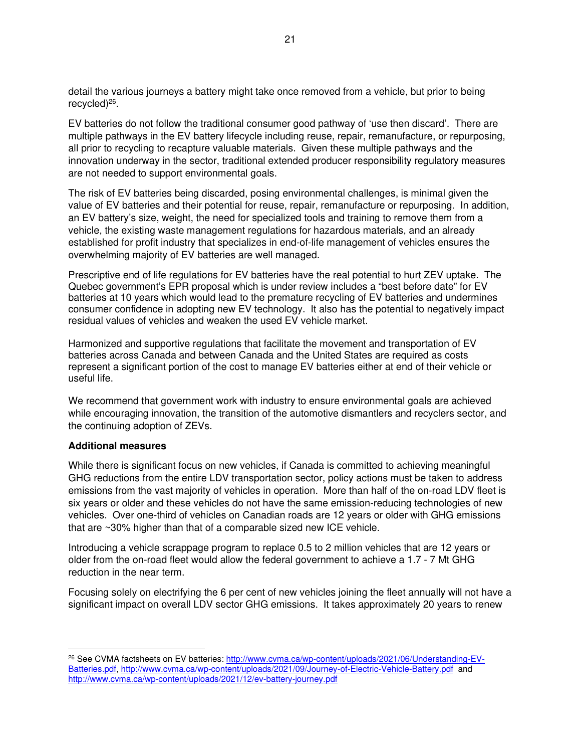detail the various journeys a battery might take once removed from a vehicle, but prior to being recycled)<sup>26</sup>.

EV batteries do not follow the traditional consumer good pathway of 'use then discard'. There are multiple pathways in the EV battery lifecycle including reuse, repair, remanufacture, or repurposing, all prior to recycling to recapture valuable materials. Given these multiple pathways and the innovation underway in the sector, traditional extended producer responsibility regulatory measures are not needed to support environmental goals.

The risk of EV batteries being discarded, posing environmental challenges, is minimal given the value of EV batteries and their potential for reuse, repair, remanufacture or repurposing. In addition, an EV battery's size, weight, the need for specialized tools and training to remove them from a vehicle, the existing waste management regulations for hazardous materials, and an already established for profit industry that specializes in end-of-life management of vehicles ensures the overwhelming majority of EV batteries are well managed.

Prescriptive end of life regulations for EV batteries have the real potential to hurt ZEV uptake. The Quebec government's EPR proposal which is under review includes a "best before date" for EV batteries at 10 years which would lead to the premature recycling of EV batteries and undermines consumer confidence in adopting new EV technology. It also has the potential to negatively impact residual values of vehicles and weaken the used EV vehicle market.

Harmonized and supportive regulations that facilitate the movement and transportation of EV batteries across Canada and between Canada and the United States are required as costs represent a significant portion of the cost to manage EV batteries either at end of their vehicle or useful life.

We recommend that government work with industry to ensure environmental goals are achieved while encouraging innovation, the transition of the automotive dismantlers and recyclers sector, and the continuing adoption of ZEVs.

#### **Additional measures**

While there is significant focus on new vehicles, if Canada is committed to achieving meaningful GHG reductions from the entire LDV transportation sector, policy actions must be taken to address emissions from the vast majority of vehicles in operation. More than half of the on-road LDV fleet is six years or older and these vehicles do not have the same emission-reducing technologies of new vehicles. Over one-third of vehicles on Canadian roads are 12 years or older with GHG emissions that are ~30% higher than that of a comparable sized new ICE vehicle.

Introducing a vehicle scrappage program to replace 0.5 to 2 million vehicles that are 12 years or older from the on-road fleet would allow the federal government to achieve a 1.7 - 7 Mt GHG reduction in the near term.

Focusing solely on electrifying the 6 per cent of new vehicles joining the fleet annually will not have a significant impact on overall LDV sector GHG emissions. It takes approximately 20 years to renew

<sup>&</sup>lt;sup>26</sup> See CVMA factsheets on EV batteries: http://www.cvma.ca/wp-content/uploads/2021/06/Understanding-EV-Batteries.pdf, http://www.cvma.ca/wp-content/uploads/2021/09/Journey-of-Electric-Vehicle-Battery.pdf and http://www.cvma.ca/wp-content/uploads/2021/12/ev-battery-journey.pdf